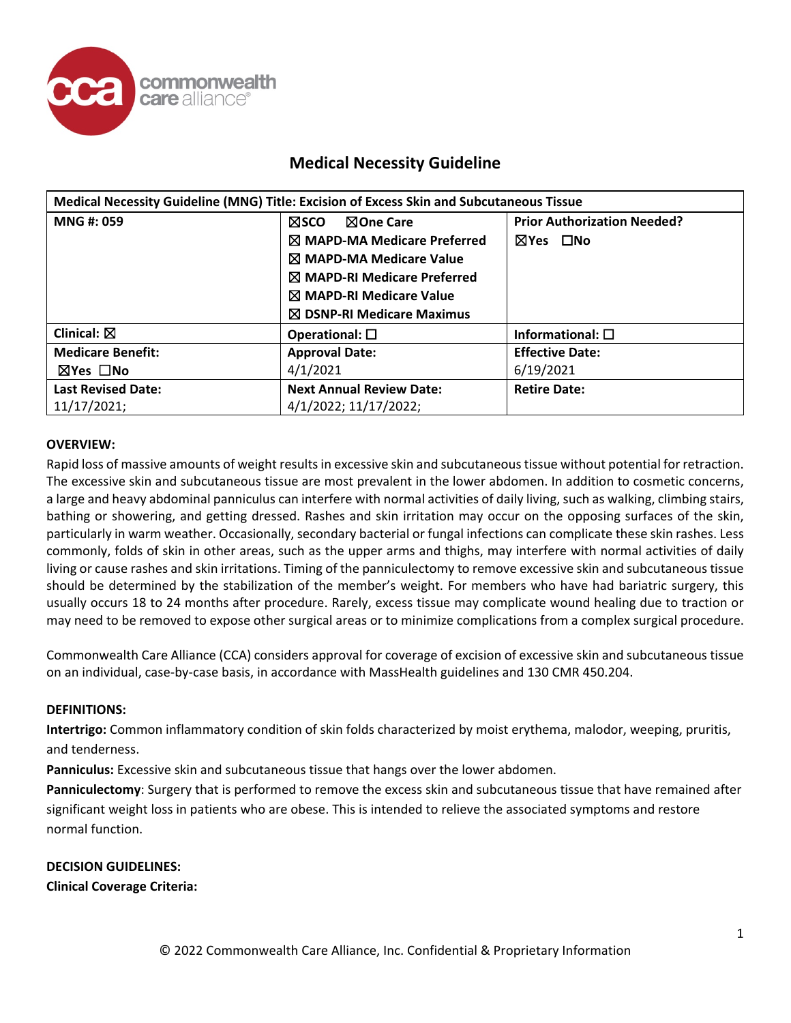

|                           | Medical Necessity Guideline (MNG) Title: Excision of Excess Skin and Subcutaneous Tissue |                                    |
|---------------------------|------------------------------------------------------------------------------------------|------------------------------------|
| <b>MNG#: 059</b>          | <b>NOne Care</b><br><b>NSCO</b>                                                          | <b>Prior Authorization Needed?</b> |
|                           | $\boxtimes$ MAPD-MA Medicare Preferred                                                   | ⊠Yes □No                           |
|                           | $\boxtimes$ MAPD-MA Medicare Value                                                       |                                    |
|                           | $\boxtimes$ MAPD-RI Medicare Preferred                                                   |                                    |
|                           | $\boxtimes$ MAPD-RI Medicare Value                                                       |                                    |
|                           | $\boxtimes$ DSNP-RI Medicare Maximus                                                     |                                    |
| Clinical: $\boxtimes$     | Operational: $\square$                                                                   | Informational: $\square$           |
| <b>Medicare Benefit:</b>  | <b>Approval Date:</b>                                                                    | <b>Effective Date:</b>             |
| ⊠Yes □No                  | 4/1/2021                                                                                 | 6/19/2021                          |
| <b>Last Revised Date:</b> | <b>Next Annual Review Date:</b>                                                          | <b>Retire Date:</b>                |
| 11/17/2021;               | 4/1/2022; 11/17/2022;                                                                    |                                    |

### **OVERVIEW:**

Rapid loss of massive amounts of weight results in excessive skin and subcutaneous tissue without potential for retraction. The excessive skin and subcutaneous tissue are most prevalent in the lower abdomen. In addition to cosmetic concerns, a large and heavy abdominal panniculus can interfere with normal activities of daily living, such as walking, climbing stairs, bathing or showering, and getting dressed. Rashes and skin irritation may occur on the opposing surfaces of the skin, particularly in warm weather. Occasionally, secondary bacterial or fungal infections can complicate these skin rashes. Less commonly, folds of skin in other areas, such as the upper arms and thighs, may interfere with normal activities of daily living or cause rashes and skin irritations. Timing of the panniculectomy to remove excessive skin and subcutaneous tissue should be determined by the stabilization of the member's weight. For members who have had bariatric surgery, this usually occurs 18 to 24 months after procedure. Rarely, excess tissue may complicate wound healing due to traction or may need to be removed to expose other surgical areas or to minimize complications from a complex surgical procedure.

Commonwealth Care Alliance (CCA) considers approval for coverage of excision of excessive skin and subcutaneous tissue on an individual, case-by-case basis, in accordance with MassHealth guidelines and 130 CMR 450.204.

#### **DEFINITIONS:**

**Intertrigo:** Common inflammatory condition of skin folds characterized by moist erythema, malodor, weeping, pruritis, and tenderness.

**Panniculus:** Excessive skin and subcutaneous tissue that hangs over the lower abdomen.

**Panniculectomy**: Surgery that is performed to remove the excess skin and subcutaneous tissue that have remained after significant weight loss in patients who are obese. This is intended to relieve the associated symptoms and restore normal function.

**DECISION GUIDELINES: Clinical Coverage Criteria:**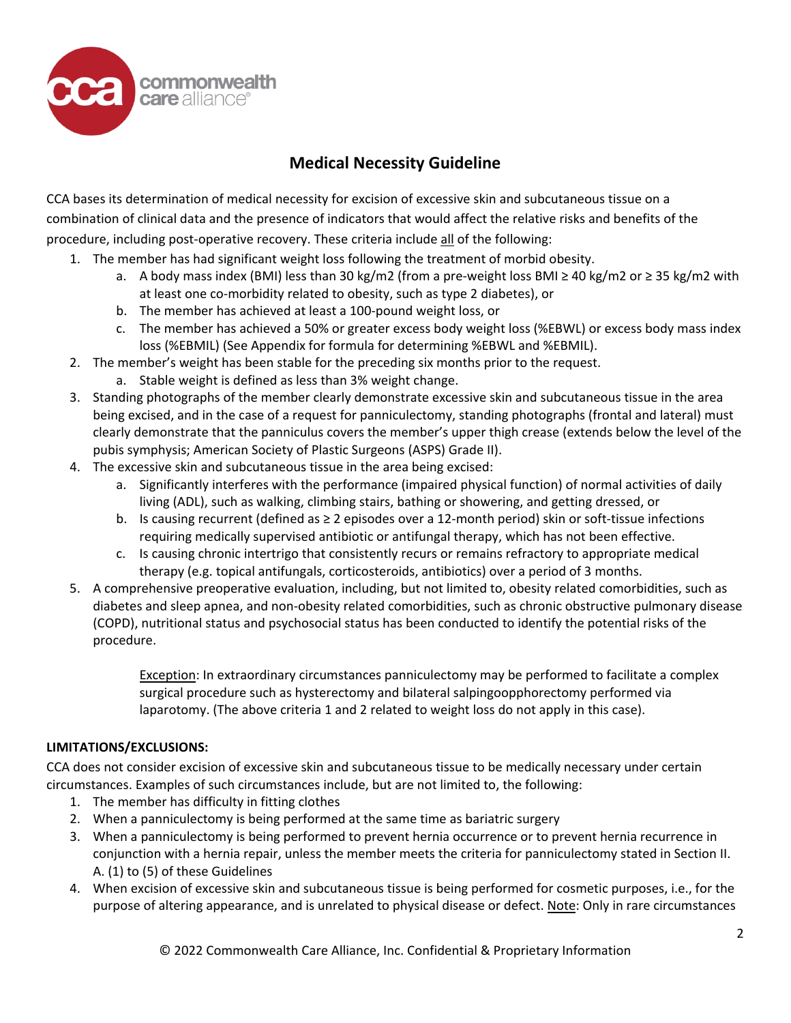

CCA bases its determination of medical necessity for excision of excessive skin and subcutaneous tissue on a combination of clinical data and the presence of indicators that would affect the relative risks and benefits of the procedure, including post-operative recovery. These criteria include all of the following:

- 1. The member has had significant weight loss following the treatment of morbid obesity.
	- a. A body mass index (BMI) less than 30 kg/m2 (from a pre-weight loss BMI ≥ 40 kg/m2 or ≥ 35 kg/m2 with at least one co-morbidity related to obesity, such as type 2 diabetes), or
	- b. The member has achieved at least a 100-pound weight loss, or
	- c. The member has achieved a 50% or greater excess body weight loss (%EBWL) or excess body mass index loss (%EBMIL) (See Appendix for formula for determining %EBWL and %EBMIL).
- 2. The member's weight has been stable for the preceding six months prior to the request.
	- a. Stable weight is defined as less than 3% weight change.
- 3. Standing photographs of the member clearly demonstrate excessive skin and subcutaneous tissue in the area being excised, and in the case of a request for panniculectomy, standing photographs (frontal and lateral) must clearly demonstrate that the panniculus covers the member's upper thigh crease (extends below the level of the pubis symphysis; American Society of Plastic Surgeons (ASPS) Grade II).
- 4. The excessive skin and subcutaneous tissue in the area being excised:
	- a. Significantly interferes with the performance (impaired physical function) of normal activities of daily living (ADL), such as walking, climbing stairs, bathing or showering, and getting dressed, or
	- b. Is causing recurrent (defined as ≥ 2 episodes over a 12-month period) skin or soft-tissue infections requiring medically supervised antibiotic or antifungal therapy, which has not been effective.
	- c. Is causing chronic intertrigo that consistently recurs or remains refractory to appropriate medical therapy (e.g. topical antifungals, corticosteroids, antibiotics) over a period of 3 months.
- 5. A comprehensive preoperative evaluation, including, but not limited to, obesity related comorbidities, such as diabetes and sleep apnea, and non-obesity related comorbidities, such as chronic obstructive pulmonary disease (COPD), nutritional status and psychosocial status has been conducted to identify the potential risks of the procedure.

Exception: In extraordinary circumstances panniculectomy may be performed to facilitate a complex surgical procedure such as hysterectomy and bilateral salpingoopphorectomy performed via laparotomy. (The above criteria 1 and 2 related to weight loss do not apply in this case).

# **LIMITATIONS/EXCLUSIONS:**

CCA does not consider excision of excessive skin and subcutaneous tissue to be medically necessary under certain circumstances. Examples of such circumstances include, but are not limited to, the following:

- 1. The member has difficulty in fitting clothes
- 2. When a panniculectomy is being performed at the same time as bariatric surgery
- 3. When a panniculectomy is being performed to prevent hernia occurrence or to prevent hernia recurrence in conjunction with a hernia repair, unless the member meets the criteria for panniculectomy stated in Section II. A. (1) to (5) of these Guidelines
- 4. When excision of excessive skin and subcutaneous tissue is being performed for cosmetic purposes, i.e., for the purpose of altering appearance, and is unrelated to physical disease or defect. Note: Only in rare circumstances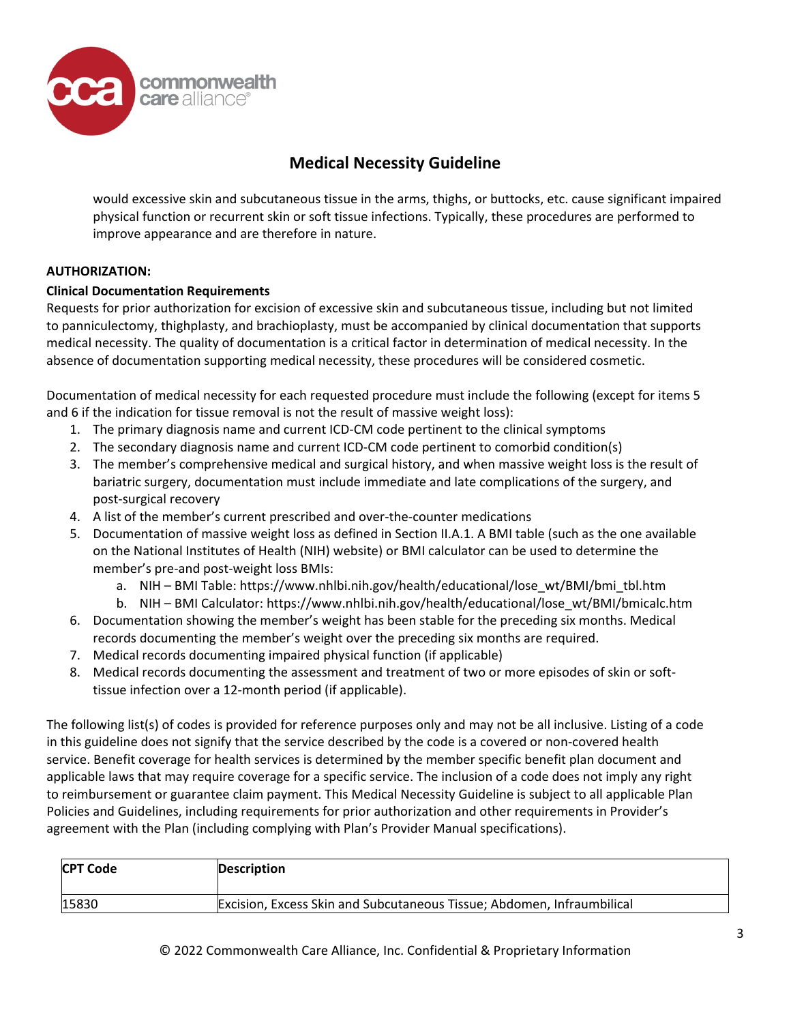

would excessive skin and subcutaneous tissue in the arms, thighs, or buttocks, etc. cause significant impaired physical function or recurrent skin or soft tissue infections. Typically, these procedures are performed to improve appearance and are therefore in nature.

### **AUTHORIZATION:**

### **Clinical Documentation Requirements**

Requests for prior authorization for excision of excessive skin and subcutaneous tissue, including but not limited to panniculectomy, thighplasty, and brachioplasty, must be accompanied by clinical documentation that supports medical necessity. The quality of documentation is a critical factor in determination of medical necessity. In the absence of documentation supporting medical necessity, these procedures will be considered cosmetic.

Documentation of medical necessity for each requested procedure must include the following (except for items 5 and 6 if the indication for tissue removal is not the result of massive weight loss):

- 1. The primary diagnosis name and current ICD-CM code pertinent to the clinical symptoms
- 2. The secondary diagnosis name and current ICD-CM code pertinent to comorbid condition(s)
- 3. The member's comprehensive medical and surgical history, and when massive weight loss is the result of bariatric surgery, documentation must include immediate and late complications of the surgery, and post-surgical recovery
- 4. A list of the member's current prescribed and over-the-counter medications
- 5. Documentation of massive weight loss as defined in Section II.A.1. A BMI table (such as the one available on the National Institutes of Health (NIH) website) or BMI calculator can be used to determine the member's pre-and post-weight loss BMIs:
	- a. NIH BMI Table: https://www.nhlbi.nih.gov/health/educational/lose\_wt/BMI/bmi\_tbl.htm
	- b. NIH BMI Calculator: https://www.nhlbi.nih.gov/health/educational/lose\_wt/BMI/bmicalc.htm
- 6. Documentation showing the member's weight has been stable for the preceding six months. Medical records documenting the member's weight over the preceding six months are required.
- 7. Medical records documenting impaired physical function (if applicable)
- 8. Medical records documenting the assessment and treatment of two or more episodes of skin or softtissue infection over a 12-month period (if applicable).

The following list(s) of codes is provided for reference purposes only and may not be all inclusive. Listing of a code in this guideline does not signify that the service described by the code is a covered or non-covered health service. Benefit coverage for health services is determined by the member specific benefit plan document and applicable laws that may require coverage for a specific service. The inclusion of a code does not imply any right to reimbursement or guarantee claim payment. This Medical Necessity Guideline is subject to all applicable Plan Policies and Guidelines, including requirements for prior authorization and other requirements in Provider's agreement with the Plan (including complying with Plan's Provider Manual specifications).

| <b>CPT Code</b> | Description                                                            |
|-----------------|------------------------------------------------------------------------|
| 15830           | Excision, Excess Skin and Subcutaneous Tissue; Abdomen, Infraumbilical |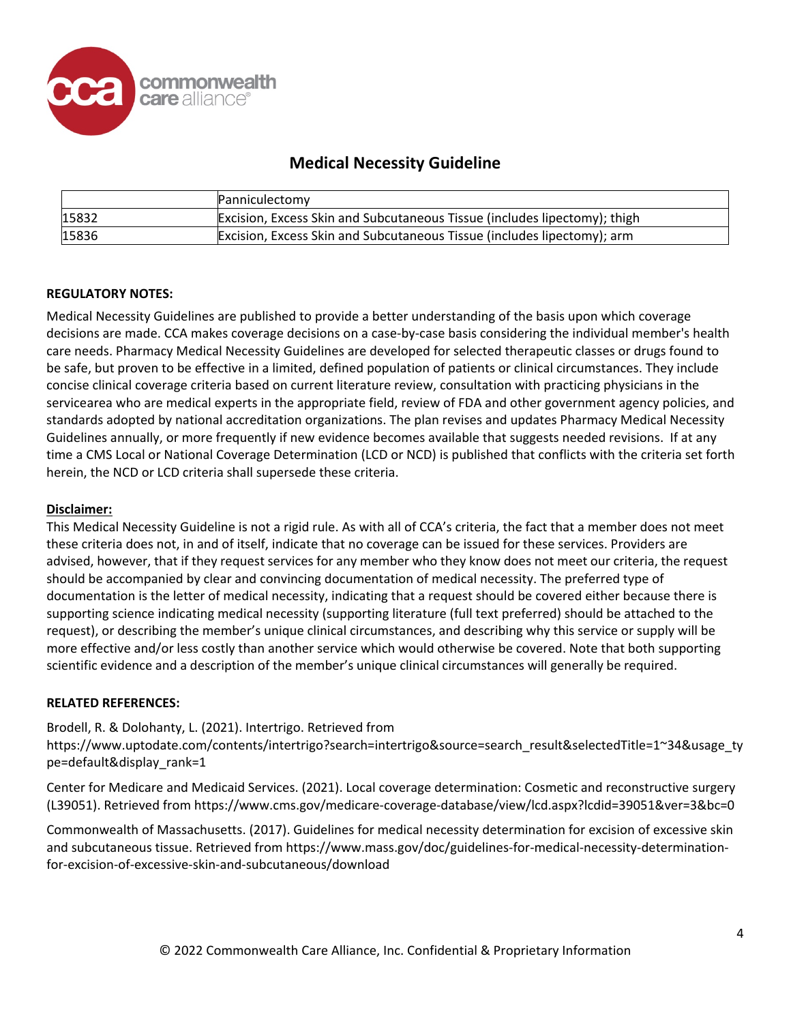

|       | Panniculectomy                                                                 |
|-------|--------------------------------------------------------------------------------|
| 15832 | Excision, Excess Skin and Subcutaneous Tissue (includes lipectomy); thigh      |
| 15836 | <b>Excision, Excess Skin and Subcutaneous Tissue (includes lipectomy); arm</b> |

### **REGULATORY NOTES:**

Medical Necessity Guidelines are published to provide a better understanding of the basis upon which coverage decisions are made. CCA makes coverage decisions on a case-by-case basis considering the individual member's health care needs. Pharmacy Medical Necessity Guidelines are developed for selected therapeutic classes or drugs found to be safe, but proven to be effective in a limited, defined population of patients or clinical circumstances. They include concise clinical coverage criteria based on current literature review, consultation with practicing physicians in the servicearea who are medical experts in the appropriate field, review of FDA and other government agency policies, and standards adopted by national accreditation organizations. The plan revises and updates Pharmacy Medical Necessity Guidelines annually, or more frequently if new evidence becomes available that suggests needed revisions. If at any time a CMS Local or National Coverage Determination (LCD or NCD) is published that conflicts with the criteria set forth herein, the NCD or LCD criteria shall supersede these criteria.

### **Disclaimer:**

This Medical Necessity Guideline is not a rigid rule. As with all of CCA's criteria, the fact that a member does not meet these criteria does not, in and of itself, indicate that no coverage can be issued for these services. Providers are advised, however, that if they request services for any member who they know does not meet our criteria, the request should be accompanied by clear and convincing documentation of medical necessity. The preferred type of documentation is the letter of medical necessity, indicating that a request should be covered either because there is supporting science indicating medical necessity (supporting literature (full text preferred) should be attached to the request), or describing the member's unique clinical circumstances, and describing why this service or supply will be more effective and/or less costly than another service which would otherwise be covered. Note that both supporting scientific evidence and a description of the member's unique clinical circumstances will generally be required.

### **RELATED REFERENCES:**

### Brodell, R. & Dolohanty, L. (2021). Intertrigo. Retrieved from

https://www.uptodate.com/contents/intertrigo?search=intertrigo&source=search\_result&selectedTitle=1~34&usage\_ty pe=default&display\_rank=1

Center for Medicare and Medicaid Services. (2021). Local coverage determination: Cosmetic and reconstructive surgery (L39051). Retrieved from https://www.cms.gov/medicare-coverage-database/view/lcd.aspx?lcdid=39051&ver=3&bc=0

Commonwealth of Massachusetts. (2017). Guidelines for medical necessity determination for excision of excessive skin and subcutaneous tissue. Retrieved from https://www.mass.gov/doc/guidelines-for-medical-necessity-determinationfor-excision-of-excessive-skin-and-subcutaneous/download